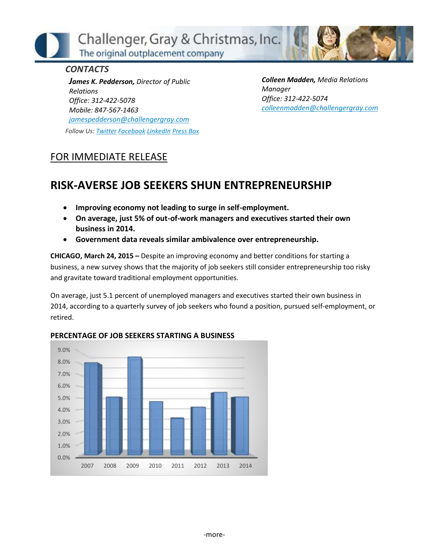Challenger, Gray & Christmas, Inc. The original outplacement company

## *CONTACTS*

*James K. Pedderson, Director of Public Relations Office: 312-422-5078 Mobile: 847-567-1463 [jamespedderson@challengergray.com](mailto:jamespedderson@challengergray.com) Follow Us: [Twitter](https://twitter.com/#!/ChallengerGray) [Facebook](https://www.facebook.com/ChallengerGray) [LinkedIn](http://www.linkedin.com/company/28264?trk=tyah) [Press Box](http://www.challengergray.com/press/press-releases)* *Colleen Madden, Media Relations Manager Office: 312-422-5074 [colleenmadden@challengergray.com](mailto:colleenmadden@challengergray.com)*

## FOR IMMEDIATE RELEASE

## **RISK-AVERSE JOB SEEKERS SHUN ENTREPRENEURSHIP**

- **Improving economy not leading to surge in self-employment.**
- **On average, just 5% of out-of-work managers and executives started their own business in 2014.**
- **Government data reveals similar ambivalence over entrepreneurship.**

**CHICAGO, March 24, 2015 –** Despite an improving economy and better conditions for starting a business, a new survey shows that the majority of job seekers still consider entrepreneurship too risky and gravitate toward traditional employment opportunities.

On average, just 5.1 percent of unemployed managers and executives started their own business in 2014, according to a quarterly survey of job seekers who found a position, pursued self-employment, or retired.



## **PERCENTAGE OF JOB SEEKERS STARTING A BUSINESS**